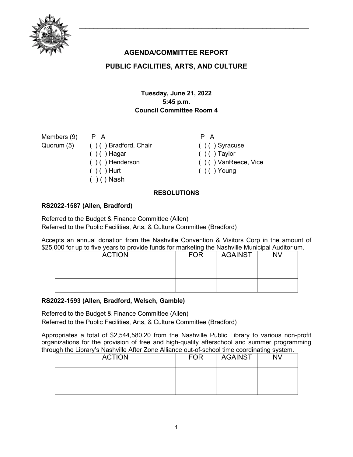

# **AGENDA/COMMITTEE REPORT**

## **PUBLIC FACILITIES, ARTS, AND CULTURE**

## **Tuesday, June 21, 2022 5:45 p.m. Council Committee Room 4**

Members (9) Quorum (5)

P A ( ) ( ) Bradford, Chair  $( ) ( )$  Hagar ( ) ( ) Henderson  $( ) ( )$  Hurt  $( )$  ( ) Nash

P A  $( ) ( )$  Syracuse  $( ) ( )$  Taylor ( ) ( ) VanReece, Vice  $( ) ( )$  Young

## **RESOLUTIONS**

## **RS2022-1587 (Allen, Bradford)**

Referred to the Budget & Finance Committee (Allen) Referred to the Public Facilities, Arts, & Culture Committee (Bradford)

Accepts an annual donation from the Nashville Convention & Visitors Corp in the amount of \$25,000 for up to five years to provide funds for marketing the Nashville Municipal Auditorium.

| <b>ACTION</b> | <b>FOR</b> | AGAINST | <b>NV</b> |
|---------------|------------|---------|-----------|
|               |            |         |           |
|               |            |         |           |

#### **RS2022-1593 (Allen, Bradford, Welsch, Gamble)**

Referred to the Budget & Finance Committee (Allen) Referred to the Public Facilities, Arts, & Culture Committee (Bradford)

Appropriates a total of \$2,544,580.20 from the Nashville Public Library to various non-profit organizations for the provision of free and high-quality afterschool and summer programming through the Library's Nashville After Zone Alliance out-of-school time coordinating system.

| <b>ACTION</b> | <b>FOR</b> | <b>AGAINST</b> | -<br><b>NV</b> |
|---------------|------------|----------------|----------------|
|               |            |                |                |
|               |            |                |                |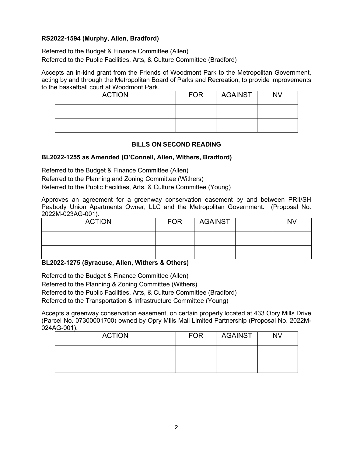### **RS2022-1594 (Murphy, Allen, Bradford)**

Referred to the Budget & Finance Committee (Allen) Referred to the Public Facilities, Arts, & Culture Committee (Bradford)

Accepts an in-kind grant from the Friends of Woodmont Park to the Metropolitan Government, acting by and through the Metropolitan Board of Parks and Recreation, to provide improvements to the basketball court at Woodmont Park.

| <b>ACTION</b> | <b>FOR</b> | <b>AGAINST</b> | <b>NV</b> |
|---------------|------------|----------------|-----------|
|               |            |                |           |
|               |            |                |           |

#### **BILLS ON SECOND READING**

#### **BL2022-1255 as Amended (O'Connell, Allen, Withers, Bradford)**

Referred to the Budget & Finance Committee (Allen)

Referred to the Planning and Zoning Committee (Withers)

Referred to the Public Facilities, Arts, & Culture Committee (Young)

Approves an agreement for a greenway conservation easement by and between PRII/SH Peabody Union Apartments Owner, LLC and the Metropolitan Government. (Proposal No. 2022M-023AG-001).

| <b>ACTION</b> | <b>FOR</b> | <b>AGAINST</b> | <b>NV</b> |
|---------------|------------|----------------|-----------|
|               |            |                |           |
|               |            |                |           |

**BL2022-1275 (Syracuse, Allen, Withers & Others)**

Referred to the Budget & Finance Committee (Allen) Referred to the Planning & Zoning Committee (Withers) Referred to the Public Facilities, Arts, & Culture Committee (Bradford) Referred to the Transportation & Infrastructure Committee (Young)

Accepts a greenway conservation easement, on certain property located at 433 Opry Mills Drive (Parcel No. 07300001700) owned by Opry Mills Mall Limited Partnership (Proposal No. 2022M-024AG-001).

| <b>ACTION</b> | <b>FOR</b> | <b>AGAINST</b> | <b>NV</b> |
|---------------|------------|----------------|-----------|
|               |            |                |           |
|               |            |                |           |